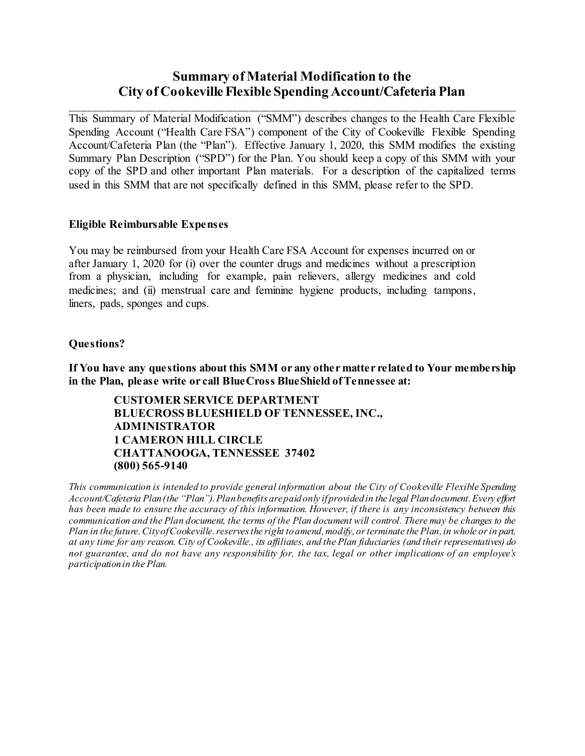### **Summary of Material Modification to the City of Cookeville Flexible Spending Account/Cafeteria Plan**

This Summary of Material Modification ("SMM") describes changes to the Health Care Flexible Spending Account ("Health Care FSA") component of the City of Cookeville Flexible Spending Account/Cafeteria Plan (the "Plan"). Effective January 1, 2020, this SMM modifies the existing Summary Plan Description ("SPD") for the Plan. You should keep a copy of this SMM with your copy of the SPD and other important Plan materials. For a description of the capitalized terms used in this SMM that are not specifically defined in this SMM, please refer to the SPD.

#### **Eligible Reimbursable Expenses**

You may be reimbursed from your Health Care FSA Account for expenses incurred on or after January 1, 2020 for (i) over the counter drugs and medicines without a prescription from a physician, including for example, pain relievers, allergy medicines and cold medicines; and (ii) menstrual care and feminine hygiene products, including tampons, liners, pads, sponges and cups.

#### **Questions?**

**If You have any questions about this SMM or any other matter related to Your membership in the Plan, please write or call BlueCross BlueShield of Tennessee at:**

**CUSTOMER SERVICE DEPARTMENT BLUECROSS BLUESHIELD OF TENNESSEE, INC., ADMINISTRATOR 1 CAMERON HILL CIRCLE CHATTANOOGA, TENNESSEE 37402 (800) 565-9140**

*This communication is intended to provide general information about the City of Cookeville Flexible Spending Account/Cafeteria Plan(the "Plan"). Plan benefits are paid only if provided in the legal Plan document. Every effort has been made to ensure the accuracy of this information. However, if there is any inconsistency between this communication and the Plan document, the terms of the Plan document will control. There may be changes to the Plan in the future. City of Cookeville. reserves the right to amend, modify, or terminate the Plan, in whole or in part, at any time for any reason. City of Cookeville., its affiliates, and the Plan fiduciaries (and their representatives) do not guarantee, and do not have any responsibility for, the tax, legal or other implications of an employee's participation in the Plan.*